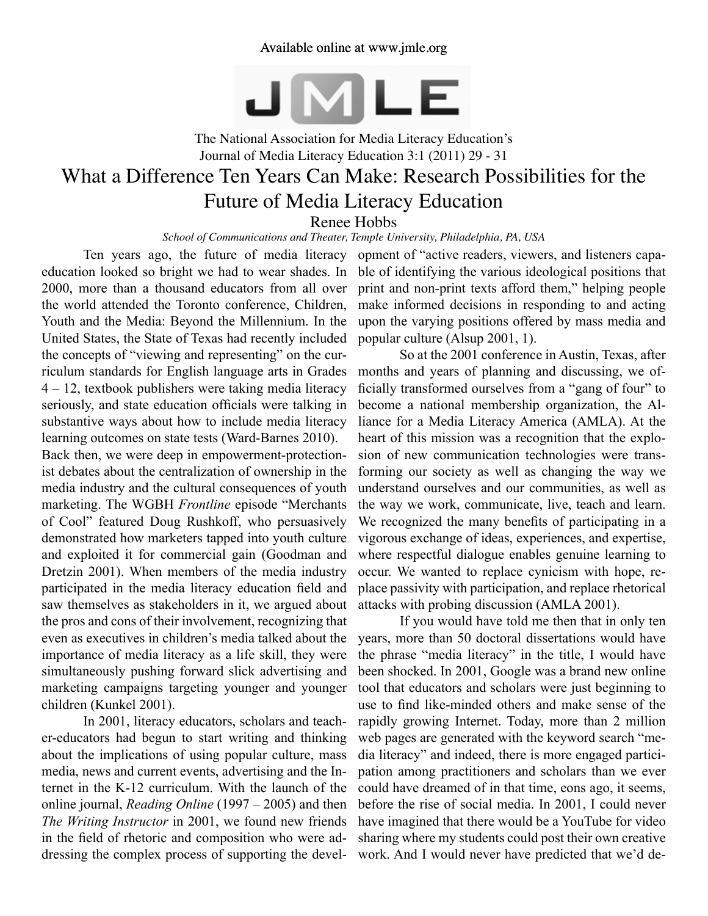JMLE

The National Association for Media Literacy Education's Journal of Media Literacy Education 3:1 (2011) 29 - 31

# What a Difference Ten Years Can Make: Research Possibilities for the Future of Media Literacy Education Renee Hobbs

*School of Communications and Theater, Temple University, Philadelphia, PA, USA*

Ten years ago, the future of media literacy education looked so bright we had to wear shades. In 2000, more than a thousand educators from all over the world attended the Toronto conference, Children, Youth and the Media: Beyond the Millennium. In the United States, the State of Texas had recently included the concepts of "viewing and representing" on the curriculum standards for English language arts in Grades 4 – 12, textbook publishers were taking media literacy seriously, and state education officials were talking in substantive ways about how to include media literacy learning outcomes on state tests (Ward-Barnes 2010).

Back then, we were deep in empowerment-protectionist debates about the centralization of ownership in the media industry and the cultural consequences of youth marketing. The WGBH *Frontline* episode "Merchants of Cool" featured Doug Rushkoff, who persuasively demonstrated how marketers tapped into youth culture and exploited it for commercial gain (Goodman and Dretzin 2001). When members of the media industry participated in the media literacy education field and saw themselves as stakeholders in it, we argued about the pros and cons of their involvement, recognizing that even as executives in children's media talked about the importance of media literacy as a life skill, they were simultaneously pushing forward slick advertising and marketing campaigns targeting younger and younger children (Kunkel 2001).

In 2001, literacy educators, scholars and teacher-educators had begun to start writing and thinking about the implications of using popular culture, mass media, news and current events, advertising and the Internet in the K-12 curriculum. With the launch of the online journal, *Reading Online* (1997 – 2005) and then *The Writing Instructor* in 2001, we found new friends in the field of rhetoric and composition who were addressing the complex process of supporting the devel-

opment of "active readers, viewers, and listeners capable of identifying the various ideological positions that print and non-print texts afford them," helping people make informed decisions in responding to and acting upon the varying positions offered by mass media and popular culture (Alsup 2001, 1).

So at the 2001 conference in Austin, Texas, after months and years of planning and discussing, we officially transformed ourselves from a "gang of four" to become a national membership organization, the Alliance for a Media Literacy America (AMLA). At the heart of this mission was a recognition that the explosion of new communication technologies were transforming our society as well as changing the way we understand ourselves and our communities, as well as the way we work, communicate, live, teach and learn. We recognized the many benefits of participating in a vigorous exchange of ideas, experiences, and expertise, where respectful dialogue enables genuine learning to occur. We wanted to replace cynicism with hope, replace passivity with participation, and replace rhetorical attacks with probing discussion (AMLA 2001).

If you would have told me then that in only ten years, more than 50 doctoral dissertations would have the phrase "media literacy" in the title, I would have been shocked. In 2001, Google was a brand new online tool that educators and scholars were just beginning to use to find like-minded others and make sense of the rapidly growing Internet. Today, more than 2 million web pages are generated with the keyword search "media literacy" and indeed, there is more engaged participation among practitioners and scholars than we ever could have dreamed of in that time, eons ago, it seems, before the rise of social media. In 2001, I could never have imagined that there would be a YouTube for video sharing where my students could post their own creative work. And I would never have predicted that we'd de-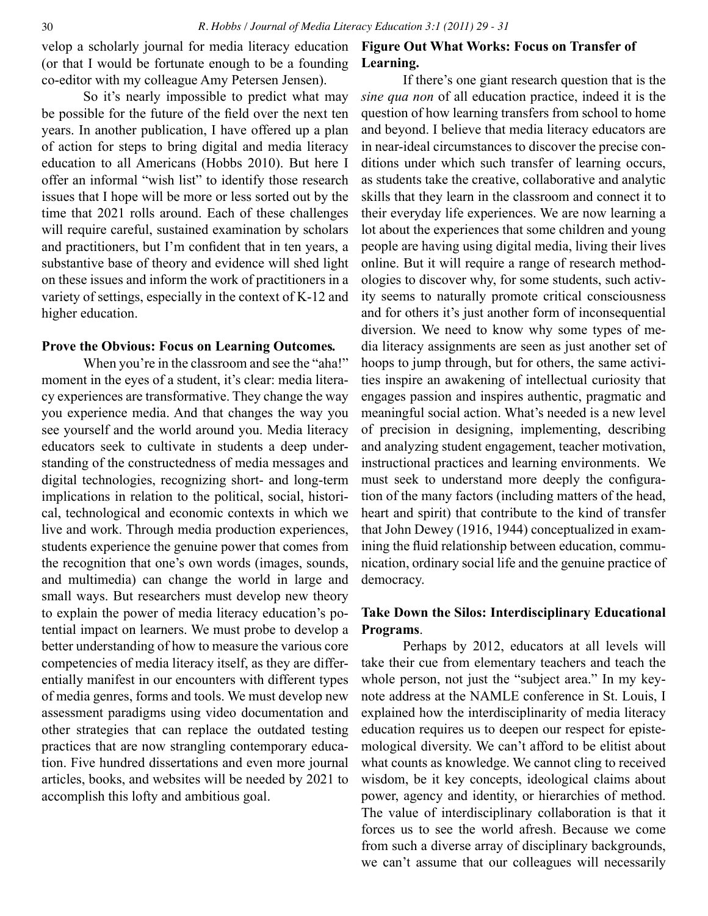velop a scholarly journal for media literacy education (or that I would be fortunate enough to be a founding co-editor with my colleague Amy Petersen Jensen).

So it's nearly impossible to predict what may be possible for the future of the field over the next ten years. In another publication, I have offered up a plan of action for steps to bring digital and media literacy education to all Americans (Hobbs 2010). But here I offer an informal "wish list" to identify those research issues that I hope will be more or less sorted out by the time that 2021 rolls around. Each of these challenges will require careful, sustained examination by scholars and practitioners, but I'm confident that in ten years, a substantive base of theory and evidence will shed light on these issues and inform the work of practitioners in a variety of settings, especially in the context of K-12 and higher education.

#### **Prove the Obvious: Focus on Learning Outcomes***.*

When you're in the classroom and see the "aha!" moment in the eyes of a student, it's clear: media literacy experiences are transformative. They change the way you experience media. And that changes the way you see yourself and the world around you. Media literacy educators seek to cultivate in students a deep understanding of the constructedness of media messages and digital technologies, recognizing short- and long-term implications in relation to the political, social, historical, technological and economic contexts in which we live and work. Through media production experiences, students experience the genuine power that comes from the recognition that one's own words (images, sounds, and multimedia) can change the world in large and small ways. But researchers must develop new theory to explain the power of media literacy education's potential impact on learners. We must probe to develop a better understanding of how to measure the various core competencies of media literacy itself, as they are differentially manifest in our encounters with different types of media genres, forms and tools. We must develop new assessment paradigms using video documentation and other strategies that can replace the outdated testing practices that are now strangling contemporary education. Five hundred dissertations and even more journal articles, books, and websites will be needed by 2021 to accomplish this lofty and ambitious goal.

## **Figure Out What Works: Focus on Transfer of Learning.**

If there's one giant research question that is the *sine qua non* of all education practice, indeed it is the question of how learning transfers from school to home and beyond. I believe that media literacy educators are in near-ideal circumstances to discover the precise conditions under which such transfer of learning occurs, as students take the creative, collaborative and analytic skills that they learn in the classroom and connect it to their everyday life experiences. We are now learning a lot about the experiences that some children and young people are having using digital media, living their lives online. But it will require a range of research methodologies to discover why, for some students, such activity seems to naturally promote critical consciousness and for others it's just another form of inconsequential diversion. We need to know why some types of media literacy assignments are seen as just another set of hoops to jump through, but for others, the same activities inspire an awakening of intellectual curiosity that engages passion and inspires authentic, pragmatic and meaningful social action. What's needed is a new level of precision in designing, implementing, describing and analyzing student engagement, teacher motivation, instructional practices and learning environments. We must seek to understand more deeply the configuration of the many factors (including matters of the head, heart and spirit) that contribute to the kind of transfer that John Dewey (1916, 1944) conceptualized in examining the fluid relationship between education, communication, ordinary social life and the genuine practice of democracy.

### **Take Down the Silos: Interdisciplinary Educational Programs**.

Perhaps by 2012, educators at all levels will take their cue from elementary teachers and teach the whole person, not just the "subject area." In my keynote address at the NAMLE conference in St. Louis, I explained how the interdisciplinarity of media literacy education requires us to deepen our respect for epistemological diversity. We can't afford to be elitist about what counts as knowledge. We cannot cling to received wisdom, be it key concepts, ideological claims about power, agency and identity, or hierarchies of method. The value of interdisciplinary collaboration is that it forces us to see the world afresh. Because we come from such a diverse array of disciplinary backgrounds, we can't assume that our colleagues will necessarily